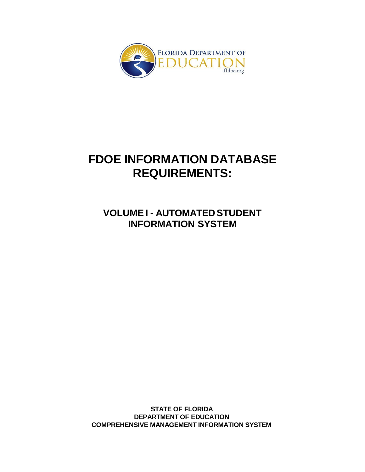

# **FDOE INFORMATION DATABASE REQUIREMENTS:**

**VOLUME I - AUTOMATED STUDENT INFORMATION SYSTEM**

**STATE OF FLORIDA DEPARTMENT OF EDUCATION COMPREHENSIVE MANAGEMENT INFORMATION SYSTEM**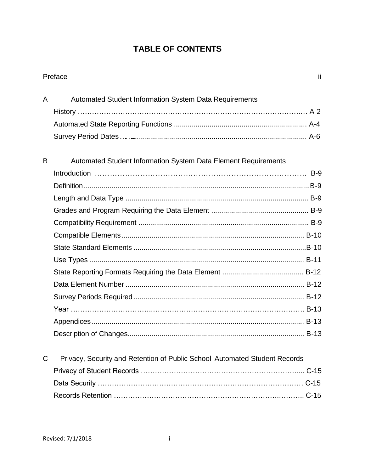### **TABLE OF CONTENTS**

|   | Preface                                                                    | ii |
|---|----------------------------------------------------------------------------|----|
| A | Automated Student Information System Data Requirements                     |    |
|   |                                                                            |    |
|   |                                                                            |    |
|   |                                                                            |    |
| B | <b>Automated Student Information System Data Element Requirements</b>      |    |
|   |                                                                            |    |
|   |                                                                            |    |
|   |                                                                            |    |
|   |                                                                            |    |
|   |                                                                            |    |
|   |                                                                            |    |
|   |                                                                            |    |
|   |                                                                            |    |
|   |                                                                            |    |
|   |                                                                            |    |
|   |                                                                            |    |
|   |                                                                            |    |
|   |                                                                            |    |
|   |                                                                            |    |
| C | Privacy, Security and Retention of Public School Automated Student Records |    |
|   |                                                                            |    |
|   |                                                                            |    |
|   |                                                                            |    |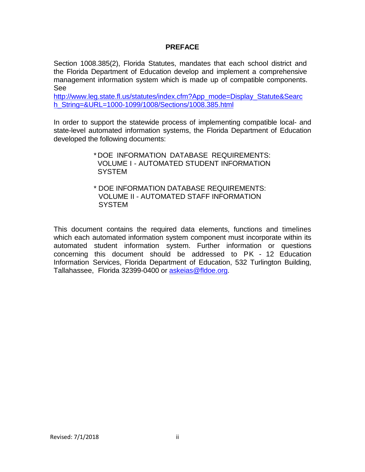#### **PREFACE**

Section 1008.385(2), Florida Statutes, mandates that each school district and the Florida Department of Education develop and implement a comprehensive management information system which is made up of compatible components. See

[http://www.leg.state.fl.us/statutes/index.cfm?App\\_mode=Display\\_Statute&Searc](http://www.leg.state.fl.us/statutes/index.cfm?App_mode=Display_Statute&amp%3BSearc)\_ h\_String=&URL=1000-1099/1008/Sections/1008.385.html

In order to support the statewide process of implementing compatible local- and state-level automated information systems, the Florida Department of Education developed the following documents:

> \* DOE INFORMATION DATABASE REQUIREMENTS: VOLUME I - AUTOMATED STUDENT INFORMATION **SYSTEM**

\* DOE INFORMATION DATABASE REQUIREMENTS: VOLUME II - AUTOMATED STAFF INFORMATION **SYSTEM** 

This document contains the required data elements, functions and timelines which each automated information system component must incorporate within its automated student information system. Further information or questions concerning this document should be addressed to PK - 12 Education Information Services, Florida Department of Education, 532 Turlington Building, Tallahassee, Florida 32399-0400 or [askeias@fldoe.org.](mailto:askeias@fldoe.org)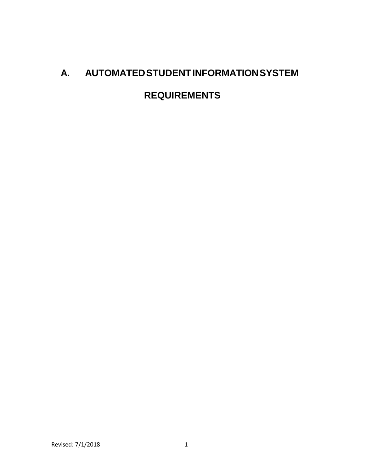# **A. AUTOMATEDSTUDENTINFORMATIONSYSTEM**

# **REQUIREMENTS**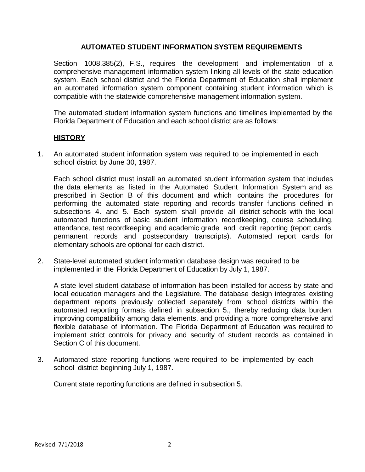#### **AUTOMATED STUDENT INFORMATION SYSTEM REQUIREMENTS**

Section 1008.385(2), F.S., requires the development and implementation of a comprehensive management information system linking all levels of the state education system. Each school district and the Florida Department of Education shall implement an automated information system component containing student information which is compatible with the statewide comprehensive management information system.

The automated student information system functions and timelines implemented by the Florida Department of Education and each school district are as follows:

#### **HISTORY**

1. An automated student information system was required to be implemented in each school district by June 30, 1987.

Each school district must install an automated student information system that includes the data elements as listed in the Automated Student Information System and as prescribed in Section B of this document and which contains the procedures for performing the automated state reporting and records transfer functions defined in subsections 4. and 5. Each system shall provide all district schools with the local automated functions of basic student information recordkeeping, course scheduling, attendance, test recordkeeping and academic grade and credit reporting (report cards, permanent records and postsecondary transcripts). Automated report cards for elementary schools are optional for each district.

2. State-level automated student information database design was required to be implemented in the Florida Department of Education by July 1, 1987.

A state-level student database of information has been installed for access by state and local education managers and the Legislature. The database design integrates existing department reports previously collected separately from school districts within the automated reporting formats defined in subsection 5., thereby reducing data burden, improving compatibility among data elements, and providing a more comprehensive and flexible database of information. The Florida Department of Education was required to implement strict controls for privacy and security of student records as contained in Section C of this document.

3. Automated state reporting functions were required to be implemented by each school district beginning July 1, 1987.

Current state reporting functions are defined in subsection 5.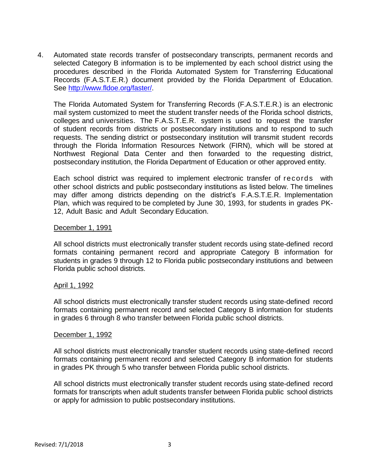4. Automated state records transfer of postsecondary transcripts, permanent records and selected Category B information is to be implemented by each school district using the procedures described in the Florida Automated System for Transferring Educational Records (F.A.S.T.E.R.) document provided by the Florida Department of Education. See [http://www.fldoe.org/faster/.](http://www.fldoe.org/faster/)

The Florida Automated System for Transferring Records (F.A.S.T.E.R.) is an electronic mail system customized to meet the student transfer needs of the Florida school districts, colleges and universities. The F.A.S.T.E.R. system is used to request the transfer of student records from districts or postsecondary institutions and to respond to such requests. The sending district or postsecondary institution will transmit student records through the Florida Information Resources Network (FIRN), which will be stored at Northwest Regional Data Center and then forwarded to the requesting district, postsecondary institution, the Florida Department of Education or other approved entity.

Each school district was required to implement electronic transfer of records with other school districts and public postsecondary institutions as listed below. The timelines may differ among districts depending on the district's F.A.S.T.E.R. Implementation Plan, which was required to be completed by June 30, 1993, for students in grades PK-12, Adult Basic and Adult Secondary Education.

#### December 1, 1991

All school districts must electronically transfer student records using state-defined record formats containing permanent record and appropriate Category B information for students in grades 9 through 12 to Florida public postsecondary institutions and between Florida public school districts.

#### April 1, 1992

All school districts must electronically transfer student records using state-defined record formats containing permanent record and selected Category B information for students in grades 6 through 8 who transfer between Florida public school districts.

#### December 1, 1992

All school districts must electronically transfer student records using state-defined record formats containing permanent record and selected Category B information for students in grades PK through 5 who transfer between Florida public school districts.

All school districts must electronically transfer student records using state-defined record formats for transcripts when adult students transfer between Florida public school districts or apply for admission to public postsecondary institutions.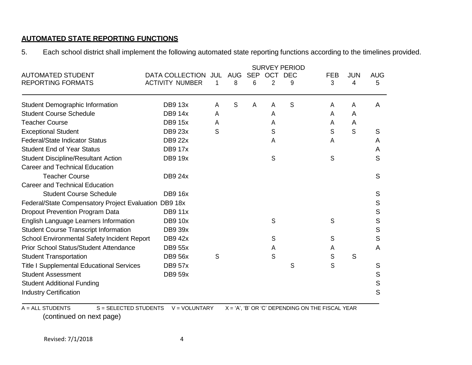#### **AUTOMATED STATE REPORTING FUNCTIONS**

5. Each school district shall implement the following automated state reporting functions according to the timelines provided.

|                                                       |                                               | <b>SURVEY PERIOD</b> |                 |                 |                       |                 |                                                    |                 |                 |
|-------------------------------------------------------|-----------------------------------------------|----------------------|-----------------|-----------------|-----------------------|-----------------|----------------------------------------------------|-----------------|-----------------|
| <b>AUTOMATED STUDENT</b><br><b>REPORTING FORMATS</b>  | DATA COLLECTION JUL<br><b>ACTIVITY NUMBER</b> | 1                    | <b>AUG</b><br>8 | <b>SEP</b><br>6 | OCT<br>$\overline{2}$ | <b>DEC</b><br>9 | <b>FEB</b><br>3                                    | <b>JUN</b><br>4 | <b>AUG</b><br>5 |
| Student Demographic Information                       | <b>DB9 13x</b>                                | А                    | S               | A               | A                     | S               | Α                                                  | A               | A               |
| <b>Student Course Schedule</b>                        | <b>DB9 14x</b>                                | А                    |                 |                 | A                     |                 | A                                                  | A               |                 |
| <b>Teacher Course</b>                                 | <b>DB9 15x</b>                                | А                    |                 |                 | Α                     |                 | A                                                  | A               |                 |
| <b>Exceptional Student</b>                            | DB9 23x                                       | S                    |                 |                 | S                     |                 | S                                                  | S               | S               |
| <b>Federal/State Indicator Status</b>                 | <b>DB9 22x</b>                                |                      |                 |                 | Α                     |                 | Α                                                  |                 | A               |
| <b>Student End of Year Status</b>                     | <b>DB9 17x</b>                                |                      |                 |                 |                       |                 |                                                    |                 | A               |
| <b>Student Discipline/Resultant Action</b>            | <b>DB9 19x</b>                                |                      |                 |                 | S                     |                 | S                                                  |                 | S               |
| <b>Career and Technical Education</b>                 |                                               |                      |                 |                 |                       |                 |                                                    |                 |                 |
| <b>Teacher Course</b>                                 | <b>DB9 24x</b>                                |                      |                 |                 |                       |                 |                                                    |                 | S               |
| <b>Career and Technical Education</b>                 |                                               |                      |                 |                 |                       |                 |                                                    |                 |                 |
| <b>Student Course Schedule</b>                        | <b>DB9 16x</b>                                |                      |                 |                 |                       |                 |                                                    |                 | S               |
| Federal/State Compensatory Project Evaluation DB9 18x |                                               |                      |                 |                 |                       |                 |                                                    |                 | S               |
| <b>Dropout Prevention Program Data</b>                | <b>DB9 11x</b>                                |                      |                 |                 |                       |                 |                                                    |                 | S               |
| English Language Learners Information                 | <b>DB9 10x</b>                                |                      |                 |                 | S                     |                 | S                                                  |                 | S               |
| <b>Student Course Transcript Information</b>          | <b>DB9 39x</b>                                |                      |                 |                 |                       |                 |                                                    |                 | S               |
| School Environmental Safety Incident Report           | <b>DB942x</b>                                 |                      |                 |                 | S                     |                 | S                                                  |                 | S               |
| <b>Prior School Status/Student Attendance</b>         | <b>DB9 55x</b>                                |                      |                 |                 | Α                     |                 | А                                                  |                 | A               |
| <b>Student Transportation</b>                         | <b>DB9 56x</b>                                | S                    |                 |                 | S                     |                 | S                                                  | S               |                 |
| <b>Title I Supplemental Educational Services</b>      | <b>DB9 57x</b>                                |                      |                 |                 |                       | S               | S                                                  |                 | S               |
| <b>Student Assessment</b>                             | <b>DB9 59x</b>                                |                      |                 |                 |                       |                 |                                                    |                 | S               |
| <b>Student Additional Funding</b>                     |                                               |                      |                 |                 |                       |                 |                                                    |                 | S               |
| <b>Industry Certification</b>                         |                                               |                      |                 |                 |                       |                 |                                                    |                 | S               |
| $A = ALL STUDENTS$<br>S = SELECTED STUDENTS           | V = VOLUNTARY                                 |                      |                 |                 |                       |                 | $X = 'A', 'B' OR 'C' DEPENDING ON THE FISCAL YEAR$ |                 |                 |

(continued on next page)

Revised: 7/1/2018 4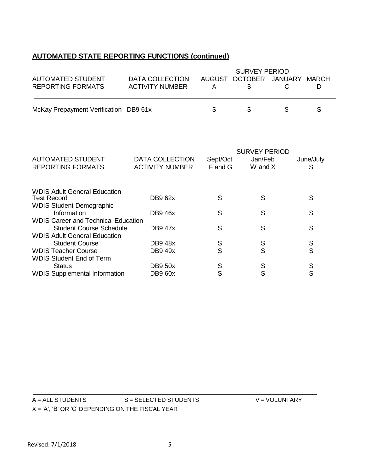### **AUTOMATED STATE REPORTING FUNCTIONS (continued)**

|                                       |                        | <b>SURVEY PERIOD</b> |                              |  |  |
|---------------------------------------|------------------------|----------------------|------------------------------|--|--|
| AUTOMATED STUDENT                     | DATA COLLECTION        |                      | AUGUST OCTOBER JANUARY MARCH |  |  |
| <b>REPORTING FORMATS</b>              | <b>ACTIVITY NUMBER</b> |                      |                              |  |  |
|                                       |                        |                      |                              |  |  |
|                                       |                        |                      |                              |  |  |
| McKay Prepayment Verification DB9 61x |                        |                      |                              |  |  |

| <b>AUTOMATED STUDENT</b><br><b>REPORTING FORMATS</b> | <b>DATA COLLECTION</b><br><b>ACTIVITY NUMBER</b> | Sept/Oct<br>F and G | <b>SURVEY PERIOD</b><br>Jan/Feb<br>W and X | June/July<br>S |
|------------------------------------------------------|--------------------------------------------------|---------------------|--------------------------------------------|----------------|
| WDIS Adult General Education                         |                                                  |                     |                                            |                |
| <b>Test Record</b>                                   | DB9 62x                                          | S                   | S                                          | S              |
| <b>WDIS Student Demographic</b>                      |                                                  |                     |                                            |                |
| Information                                          | <b>DB946x</b>                                    | S                   | S                                          | S              |
| <b>WDIS Career and Technical Education</b>           |                                                  |                     |                                            |                |
| <b>Student Course Schedule</b>                       | <b>DB947x</b>                                    | S                   | S                                          | S              |
| <b>WDIS Adult General Education</b>                  |                                                  |                     |                                            |                |
| <b>Student Course</b>                                | <b>DB948x</b>                                    | S                   | S                                          | S              |
| <b>WDIS Teacher Course</b>                           | <b>DB9 49x</b>                                   | S                   | S                                          | S              |
| <b>WDIS Student End of Term</b>                      |                                                  |                     |                                            |                |
| <b>Status</b>                                        | <b>DB9 50x</b>                                   | S                   | S                                          | S              |
| <b>WDIS Supplemental Information</b>                 | <b>DB9 60x</b>                                   | S                   | S                                          | S              |

| $A = ALL STUDENTS$                                 | S = SELECTED STUDENTS | $V = VOLUTIONTARY$ |
|----------------------------------------------------|-----------------------|--------------------|
| $X = 'A', 'B' OR 'C' DEPENDING ON THE FISCAL YEAR$ |                       |                    |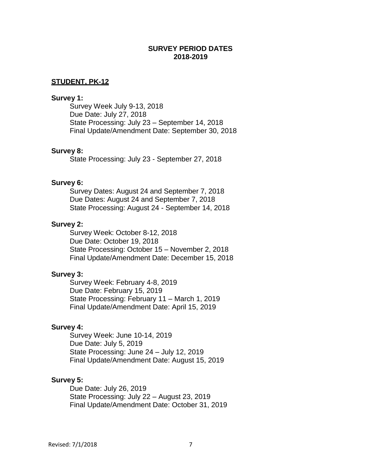#### **SURVEY PERIOD DATES 2018-2019**

#### **STUDENT, PK-12**

#### **Survey 1:**

Survey Week July 9-13, 2018 Due Date: July 27, 2018 State Processing: July 23 – September 14, 2018 Final Update/Amendment Date: September 30, 2018

#### **Survey 8:**

State Processing: July 23 - September 27, 2018

#### **Survey 6:**

Survey Dates: August 24 and September 7, 2018 Due Dates: August 24 and September 7, 2018 State Processing: August 24 - September 14, 2018

#### **Survey 2:**

Survey Week: October 8-12, 2018 Due Date: October 19, 2018 State Processing: October 15 – November 2, 2018 Final Update/Amendment Date: December 15, 2018

#### **Survey 3:**

Survey Week: February 4-8, 2019 Due Date: February 15, 2019 State Processing: February 11 – March 1, 2019 Final Update/Amendment Date: April 15, 2019

#### **Survey 4:**

Survey Week: June 10-14, 2019 Due Date: July 5, 2019 State Processing: June 24 – July 12, 2019 Final Update/Amendment Date: August 15, 2019

#### **Survey 5:**

Due Date: July 26, 2019 State Processing: July 22 – August 23, 2019 Final Update/Amendment Date: October 31, 2019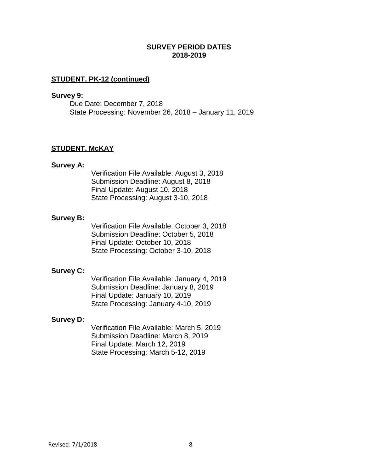#### **SURVEY PERIOD DATES 2018-2019**

#### **STUDENT, PK-12 (continued)**

#### **Survey 9:**

Due Date: December 7, 2018 State Processing: November 26, 2018 – January 11, 2019

#### **STUDENT, McKAY**

#### **Survey A:**

Verification File Available: August 3, 2018 Submission Deadline: August 8, 2018 Final Update: August 10, 2018 State Processing: August 3-10, 2018

#### **Survey B:**

Verification File Available: October 3, 2018 Submission Deadline: October 5, 2018 Final Update: October 10, 2018 State Processing: October 3-10, 2018

#### **Survey C:**

Verification File Available: January 4, 2019 Submission Deadline: January 8, 2019 Final Update: January 10, 2019 State Processing: January 4-10, 2019

#### **Survey D:**

Verification File Available: March 5, 2019 Submission Deadline: March 8, 2019 Final Update: March 12, 2019 State Processing: March 5-12, 2019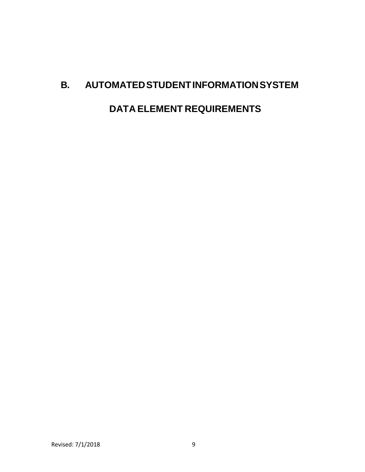## **B. AUTOMATEDSTUDENTINFORMATIONSYSTEM**

**DATA ELEMENT REQUIREMENTS**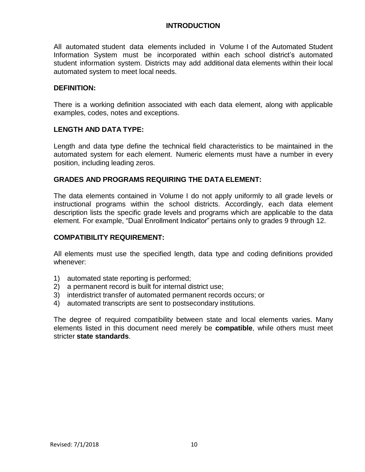All automated student data elements included in Volume I of the Automated Student Information System must be incorporated within each school district's automated student information system. Districts may add additional data elements within their local automated system to meet local needs.

#### **DEFINITION:**

There is a working definition associated with each data element, along with applicable examples, codes, notes and exceptions.

#### **LENGTH AND DATA TYPE:**

Length and data type define the technical field characteristics to be maintained in the automated system for each element. Numeric elements must have a number in every position, including leading zeros.

#### **GRADES AND PROGRAMS REQUIRING THE DATA ELEMENT:**

The data elements contained in Volume I do not apply uniformly to all grade levels or instructional programs within the school districts. Accordingly, each data element description lists the specific grade levels and programs which are applicable to the data element. For example, "Dual Enrollment Indicator" pertains only to grades 9 through 12.

#### **COMPATIBILITY REQUIREMENT:**

All elements must use the specified length, data type and coding definitions provided whenever:

- 1) automated state reporting is performed;
- 2) a permanent record is built for internal district use;
- 3) interdistrict transfer of automated permanent records occurs; or
- 4) automated transcripts are sent to postsecondary institutions.

The degree of required compatibility between state and local elements varies. Many elements listed in this document need merely be **compatible**, while others must meet stricter **state standards**.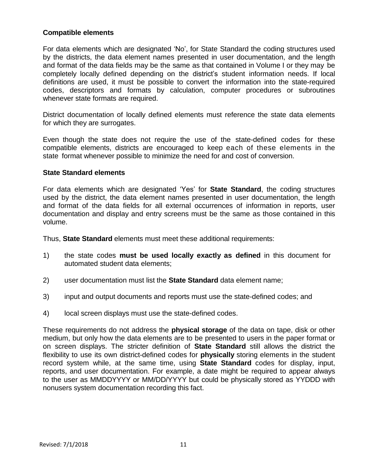#### **Compatible elements**

For data elements which are designated 'No', for State Standard the coding structures used by the districts, the data element names presented in user documentation, and the length and format of the data fields may be the same as that contained in Volume I or they may be completely locally defined depending on the district's student information needs. If local definitions are used, it must be possible to convert the information into the state-required codes, descriptors and formats by calculation, computer procedures or subroutines whenever state formats are required.

District documentation of locally defined elements must reference the state data elements for which they are surrogates.

Even though the state does not require the use of the state-defined codes for these compatible elements, districts are encouraged to keep each of these elements in the state format whenever possible to minimize the need for and cost of conversion.

#### **State Standard elements**

For data elements which are designated 'Yes' for **State Standard**, the coding structures used by the district, the data element names presented in user documentation, the length and format of the data fields for all external occurrences of information in reports, user documentation and display and entry screens must be the same as those contained in this volume.

Thus, **State Standard** elements must meet these additional requirements:

- 1) the state codes **must be used locally exactly as defined** in this document for automated student data elements;
- 2) user documentation must list the **State Standard** data element name;
- 3) input and output documents and reports must use the state-defined codes; and
- 4) local screen displays must use the state-defined codes.

These requirements do not address the **physical storage** of the data on tape, disk or other medium, but only how the data elements are to be presented to users in the paper format or on screen displays. The stricter definition of **State Standard** still allows the district the flexibility to use its own district-defined codes for **physically** storing elements in the student record system while, at the same time, using **State Standard** codes for display, input, reports, and user documentation. For example, a date might be required to appear always to the user as MMDDYYYY or MM/DD/YYYY but could be physically stored as YYDDD with nonusers system documentation recording this fact.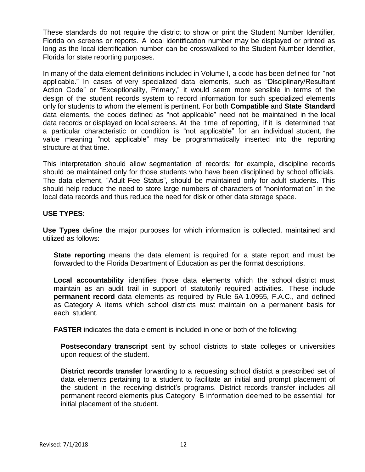These standards do not require the district to show or print the Student Number Identifier, Florida on screens or reports. A local identification number may be displayed or printed as long as the local identification number can be crosswalked to the Student Number Identifier, Florida for state reporting purposes.

In many of the data element definitions included in Volume I, a code has been defined for "not applicable." In cases of very specialized data elements, such as "Disciplinary/Resultant Action Code" or "Exceptionality, Primary," it would seem more sensible in terms of the design of the student records system to record information for such specialized elements only for students to whom the element is pertinent. For both **Compatible** and **State Standard** data elements, the codes defined as "not applicable" need not be maintained in the local data records or displayed on local screens. At the time of reporting, if it is determined that a particular characteristic or condition is "not applicable" for an individual student, the value meaning "not applicable" may be programmatically inserted into the reporting structure at that time.

This interpretation should allow segmentation of records: for example, discipline records should be maintained only for those students who have been disciplined by school officials. The data element, "Adult Fee Status", should be maintained only for adult students. This should help reduce the need to store large numbers of characters of "noninformation" in the local data records and thus reduce the need for disk or other data storage space.

#### **USE TYPES:**

**Use Types** define the major purposes for which information is collected, maintained and utilized as follows:

**State reporting** means the data element is required for a state report and must be forwarded to the Florida Department of Education as per the format descriptions.

**Local accountability** identifies those data elements which the school district must maintain as an audit trail in support of statutorily required activities. These include **permanent record** data elements as required by Rule 6A-1.0955, F.A.C., and defined as Category A items which school districts must maintain on a permanent basis for each student.

**FASTER** indicates the data element is included in one or both of the following:

**Postsecondary transcript** sent by school districts to state colleges or universities upon request of the student.

**District records transfer** forwarding to a requesting school district a prescribed set of data elements pertaining to a student to facilitate an initial and prompt placement of the student in the receiving district's programs. District records transfer includes all permanent record elements plus Category B information deemed to be essential for initial placement of the student.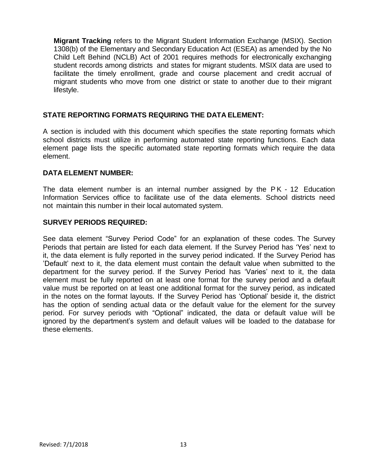**Migrant Tracking** refers to the Migrant Student Information Exchange (MSIX). Section 1308(b) of the Elementary and Secondary Education Act (ESEA) as amended by the No Child Left Behind (NCLB) Act of 2001 requires methods for electronically exchanging student records among districts and states for migrant students. MSIX data are used to facilitate the timely enrollment, grade and course placement and credit accrual of migrant students who move from one district or state to another due to their migrant lifestyle.

#### **STATE REPORTING FORMATS REQUIRING THE DATA ELEMENT:**

A section is included with this document which specifies the state reporting formats which school districts must utilize in performing automated state reporting functions. Each data element page lists the specific automated state reporting formats which require the data element.

#### **DATA ELEMENT NUMBER:**

The data element number is an internal number assigned by the PK - 12 Education Information Services office to facilitate use of the data elements. School districts need not maintain this number in their local automated system.

#### **SURVEY PERIODS REQUIRED:**

See data element "Survey Period Code" for an explanation of these codes. The Survey Periods that pertain are listed for each data element. If the Survey Period has 'Yes' next to it, the data element is fully reported in the survey period indicated. If the Survey Period has 'Default' next to it, the data element must contain the default value when submitted to the department for the survey period. If the Survey Period has 'Varies' next to it, the data element must be fully reported on at least one format for the survey period and a default value must be reported on at least one additional format for the survey period, as indicated in the notes on the format layouts. If the Survey Period has 'Optional' beside it, the district has the option of sending actual data or the default value for the element for the survey period. For survey periods with "Optional" indicated, the data or default value will be ignored by the department's system and default values will be loaded to the database for these elements.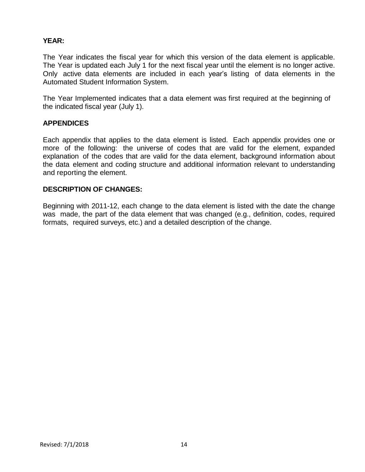#### **YEAR:**

The Year indicates the fiscal year for which this version of the data element is applicable. The Year is updated each July 1 for the next fiscal year until the element is no longer active. Only active data elements are included in each year's listing of data elements in the Automated Student Information System.

The Year Implemented indicates that a data element was first required at the beginning of the indicated fiscal year (July 1).

#### **APPENDICES**

Each appendix that applies to the data element is listed. Each appendix provides one or more of the following: the universe of codes that are valid for the element, expanded explanation of the codes that are valid for the data element, background information about the data element and coding structure and additional information relevant to understanding and reporting the element.

#### **DESCRIPTION OF CHANGES:**

Beginning with 2011-12, each change to the data element is listed with the date the change was made, the part of the data element that was changed (e.g., definition, codes, required formats, required surveys, etc.) and a detailed description of the change.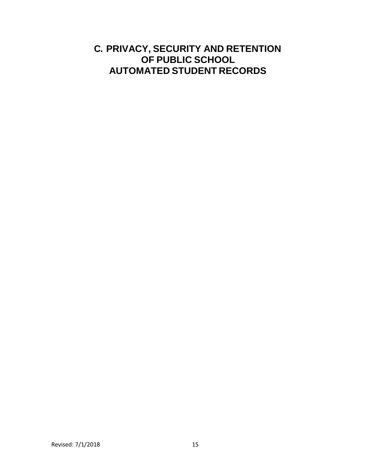### **C. PRIVACY, SECURITY AND RETENTION OF PUBLIC SCHOOL AUTOMATED STUDENT RECORDS**